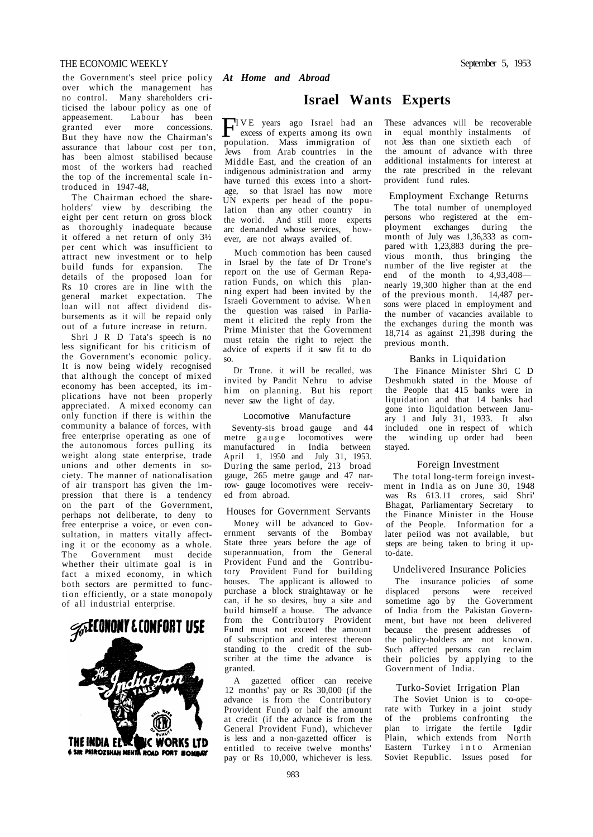# THE ECONOMIC WEEKLY September 5, 1953

the Government's steel price policy *At Home and Abroad*  over which the management has no control. Many shareholders criticised the labour policy as one of appeasement. Labour has been granted ever more concessions. But they have now the Chairman's assurance that labour cost per ton, has been almost stabilised because most of the workers had reached the top of the incremental scale in troduced in 1947-48,

The Chairman echoed the shareholders' view by describing the eight per cent return on gross block as thoroughly inadequate because it offered a net return of only 3½ per cent which was insufficient to attract new investment or to help build funds for expansion. The details of the proposed loan for Rs 10 crores are in line with the general market expectation. The loan will not affect dividend disbursements as it will be repaid only out of a future increase in return.

Shri J R D Tata's speech is no less significant for his criticism of the Government's economic policy. It is now being widely recognised that although the concept of mixed economy has been accepted, its implications have not been properly appreciated. A mixed economy can only function if there is within the community a balance of forces, with free enterprise operating as one of the autonomous forces pulling its weight along state enterprise, trade unions and other dements in society. The manner of nationalisation of air transport has given the impression that there is a tendency on the part of the Government, perhaps not deliberate, to deny to free enterprise a voice, or even consultation, in matters vitally affecting it or the economy as a whole. The Government must decide whether their ultimate goal is in fact a mixed economy, in which both sectors are permitted to function efficiently, or a state monopoly of all industrial enterprise.



# **Israel Wants Experts**

**FIVE** years ago Israel had an excess of experts among its own excess of experts among its own population. Mass immigration of Jews from Arab countries in the Middle East, and the creation of an indigenous administration and army have turned this excess into a shortage, so that Israel has now more UN experts per head of the population than any other country in the world. And still more experts arc demanded whose services, however, are not always availed of.

Much commotion has been caused in Israel by the fate of Dr Trone's report on the use of German Reparation Funds, on which this planning expert had been invited by the Israeli Government to advise. When the question was raised in Parliament it elicited the reply from the Prime Minister that the Government must retain the right to reject the advice of experts if it saw fit to do so.

Dr Trone. it will be recalled, was invited by Pandit Nehru to advise him on planning. But his report never saw the light of day.

### Locomotive Manufacture

Seventy-sis broad gauge and 44 metre gauge locomotives were manufactured in India between April 1, 1950 and July 31, 1953. During the same period, 213 broad gauge, 265 metre gauge and 47 narrow- gauge locomotives were received from abroad.

# Houses for Government Servants

Money will be advanced to Government servants of the Bombay State three years before the age of superannuation, from the General Provident Fund and the Gontributory Provident Fund for building houses. The applicant is allowed to purchase a block straightaway or he can, if he so desires, buy a site and build himself a house. The advance from the Contributory Provident Fund must not exceed the amount of subscription and interest thereon standing to the credit of the subscriber at the time the advance is granted.

A gazetted officer can receive 12 months' pay or Rs 30,000 (if the advance is from the Contributory Provident Fund) or half the amount at credit (if the advance is from the General Provident Fund), whichever is less and a non-gazetted officer is entitled to receive twelve months' pay or Rs 10,000, whichever is less. These advances will be recoverable in equal monthly instalments of<br>not Jess than one sixtieth each of not Jess than one sixtieth each the amount of advance with three additional instalments for interest at the rate prescribed in the relevant provident fund rules.

### Employment Exchange Returns

The total number of unemployed persons who registered at the employment exchanges during the month of July was 1,36,333 as compared with 1,23,883 during the previous month, thus bringing the number of the live register at the end of the month to 4,93,408nearly 19,300 higher than at the end of the previous month. 14,487 persons were placed in employment and the number of vacancies available to the exchanges during the month was 18,714 as against  $21,398$  during the previous month.

# Banks in Liquidation

The Finance Minister Shri C D Deshmukh stated in the Mouse of the People that 415 banks were in liquidation and that 14 banks had gone into liquidation between January 1 and  $\overrightarrow{J}$ uly 31, 1933. It also included one in respect of which the winding up order had been stayed.

### Foreign Investment

The total long-term foreign investment in India as on June 30, 1948 was Rs 613.11 crores, said Shri' Bhagat, Parliamentary Secretary to the Finance Minister in the House of the People. Information for a later peiiod was not available, but steps are being taken to bring it upto-date.

### Undelivered Insurance Policies

The insurance policies of some displaced persons were received sometime ago by the Government of India from the Pakistan Government, but have not been delivered because the present addresses of the policy-holders are not known. Such affected persons can reclaim their policies by applying to the Government of India.

### Turko-Soviet Irrigation Plan

The Soviet Union is to co-operate with Turkey in a joint study of the problems confronting the plan to irrigate the fertile Igdir Plain, which extends from North Eastern Turkey int o Armenian Soviet Republic. Issues posed for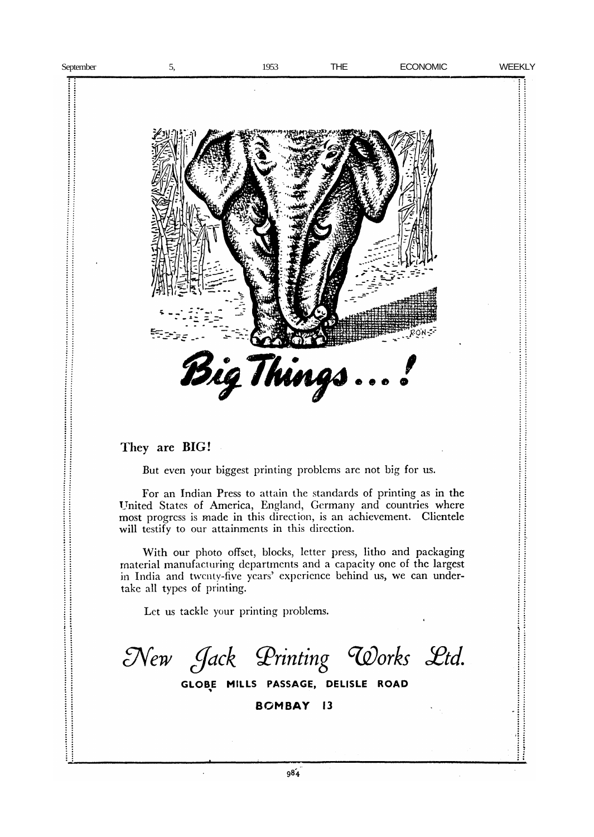j .......

 $\vdots$ 

İ  $\vdots$ 



They are BIG!

But even your biggest printing problems are not big for us.

For an Indian Press to attain the standards of printing as in the United States of America, England, Germany and countries where most progress is made in this direction, is an achievement. Clientele will testify to our attainments in this direction.

With our photo offset, blocks, letter press, litho and packaging material manufacturing departments and a capacity one of the largest in India and twenty-five years' experience behind us, we can undertake all types of printing.

Let us tackle your printing problems.

New Jack Printing Works Ltd.

GLOBE MILLS PASSAGE, DELISLE ROAD

**BOMBAY 13**